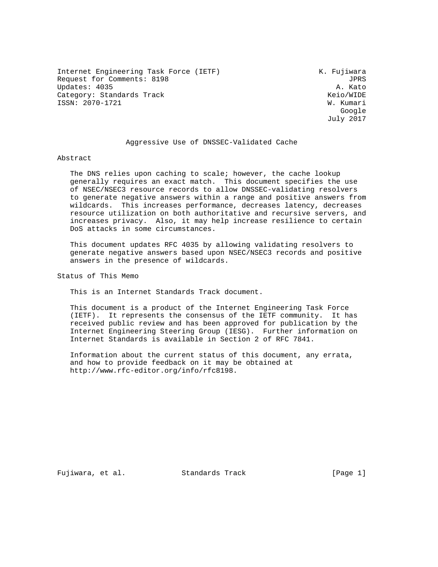Internet Engineering Task Force (IETF) The Manuscript Communist Communist Communist Communist Communist Communist Communist Communist Communist Communist Communist Communist Communist Communist Communist Communist Communis Request for Comments: 8198 JPRS<br>Updates: 4035 A. Kato Updates: 4035 Category: Standards Track Keio/WIDE ISSN: 2070-1721 W. Kumari

google is a straightforward of the control of the control of the control of the control of the control of the c July 2017

#### Aggressive Use of DNSSEC-Validated Cache

#### Abstract

 The DNS relies upon caching to scale; however, the cache lookup generally requires an exact match. This document specifies the use of NSEC/NSEC3 resource records to allow DNSSEC-validating resolvers to generate negative answers within a range and positive answers from wildcards. This increases performance, decreases latency, decreases resource utilization on both authoritative and recursive servers, and increases privacy. Also, it may help increase resilience to certain DoS attacks in some circumstances.

 This document updates RFC 4035 by allowing validating resolvers to generate negative answers based upon NSEC/NSEC3 records and positive answers in the presence of wildcards.

Status of This Memo

This is an Internet Standards Track document.

 This document is a product of the Internet Engineering Task Force (IETF). It represents the consensus of the IETF community. It has received public review and has been approved for publication by the Internet Engineering Steering Group (IESG). Further information on Internet Standards is available in Section 2 of RFC 7841.

 Information about the current status of this document, any errata, and how to provide feedback on it may be obtained at http://www.rfc-editor.org/info/rfc8198.

Fujiwara, et al. Standards Track [Page 1]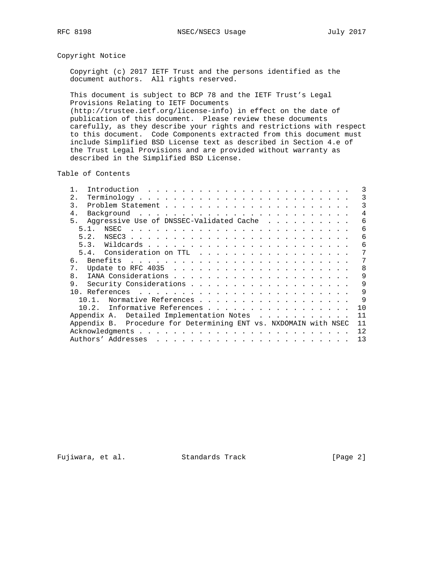# Copyright Notice

 Copyright (c) 2017 IETF Trust and the persons identified as the document authors. All rights reserved.

 This document is subject to BCP 78 and the IETF Trust's Legal Provisions Relating to IETF Documents (http://trustee.ietf.org/license-info) in effect on the date of publication of this document. Please review these documents carefully, as they describe your rights and restrictions with respect to this document. Code Components extracted from this document must include Simplified BSD License text as described in Section 4.e of the Trust Legal Provisions and are provided without warranty as described in the Simplified BSD License.

Table of Contents

| 2.1                                                                                                                                                                                                                                                                                                                                                                                                                                                                              | 3  |
|----------------------------------------------------------------------------------------------------------------------------------------------------------------------------------------------------------------------------------------------------------------------------------------------------------------------------------------------------------------------------------------------------------------------------------------------------------------------------------|----|
| 3                                                                                                                                                                                                                                                                                                                                                                                                                                                                                | 3  |
| 4.<br>Background                                                                                                                                                                                                                                                                                                                                                                                                                                                                 | 4  |
| Aggressive Use of DNSSEC-Validated Cache<br>5.                                                                                                                                                                                                                                                                                                                                                                                                                                   | 6  |
| 51<br>NSEC<br>. The contract of the contract of the contract of the contract of the contract of the contract of the contract of the contract of the contract of the contract of the contract of the contract of the contract of the contrac                                                                                                                                                                                                                                      | 6  |
| 5.2.                                                                                                                                                                                                                                                                                                                                                                                                                                                                             | 6  |
| 5.3.                                                                                                                                                                                                                                                                                                                                                                                                                                                                             | 6  |
|                                                                                                                                                                                                                                                                                                                                                                                                                                                                                  | 7  |
| б.                                                                                                                                                                                                                                                                                                                                                                                                                                                                               | 7  |
| 7.                                                                                                                                                                                                                                                                                                                                                                                                                                                                               | 8  |
| 8.                                                                                                                                                                                                                                                                                                                                                                                                                                                                               | 9  |
| 9.                                                                                                                                                                                                                                                                                                                                                                                                                                                                               | 9  |
|                                                                                                                                                                                                                                                                                                                                                                                                                                                                                  | 9  |
| Normative References<br>10 1                                                                                                                                                                                                                                                                                                                                                                                                                                                     | 9  |
| Informative References<br>10.2.                                                                                                                                                                                                                                                                                                                                                                                                                                                  | 10 |
| Appendix A. Detailed Implementation Notes                                                                                                                                                                                                                                                                                                                                                                                                                                        | 11 |
| Appendix B. Procedure for Determining ENT vs. NXDOMAIN with NSEC                                                                                                                                                                                                                                                                                                                                                                                                                 | 11 |
| Acknowledgments                                                                                                                                                                                                                                                                                                                                                                                                                                                                  | 12 |
| Authors' Addresses<br>$\mathbf{1} \qquad \mathbf{1} \qquad \mathbf{1} \qquad \mathbf{1} \qquad \mathbf{1} \qquad \mathbf{1} \qquad \mathbf{1} \qquad \mathbf{1} \qquad \mathbf{1} \qquad \mathbf{1} \qquad \mathbf{1} \qquad \mathbf{1} \qquad \mathbf{1} \qquad \mathbf{1} \qquad \mathbf{1} \qquad \mathbf{1} \qquad \mathbf{1} \qquad \mathbf{1} \qquad \mathbf{1} \qquad \mathbf{1} \qquad \mathbf{1} \qquad \mathbf{1} \qquad \mathbf{1} \qquad \mathbf{1} \qquad \mathbf{$ | 13 |
|                                                                                                                                                                                                                                                                                                                                                                                                                                                                                  |    |

Fujiwara, et al. Standards Track [Page 2]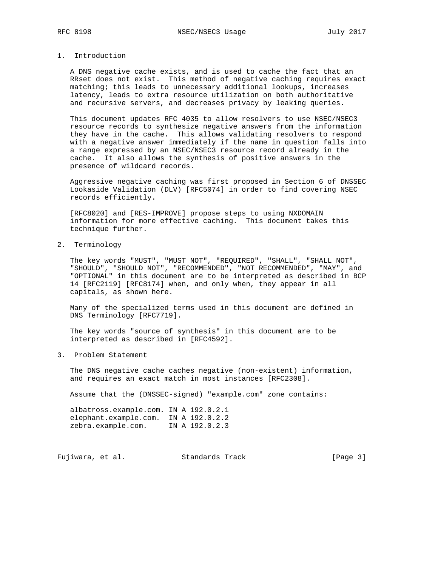## 1. Introduction

 A DNS negative cache exists, and is used to cache the fact that an RRset does not exist. This method of negative caching requires exact matching; this leads to unnecessary additional lookups, increases latency, leads to extra resource utilization on both authoritative and recursive servers, and decreases privacy by leaking queries.

 This document updates RFC 4035 to allow resolvers to use NSEC/NSEC3 resource records to synthesize negative answers from the information they have in the cache. This allows validating resolvers to respond with a negative answer immediately if the name in question falls into a range expressed by an NSEC/NSEC3 resource record already in the cache. It also allows the synthesis of positive answers in the presence of wildcard records.

 Aggressive negative caching was first proposed in Section 6 of DNSSEC Lookaside Validation (DLV) [RFC5074] in order to find covering NSEC records efficiently.

 [RFC8020] and [RES-IMPROVE] propose steps to using NXDOMAIN information for more effective caching. This document takes this technique further.

2. Terminology

 The key words "MUST", "MUST NOT", "REQUIRED", "SHALL", "SHALL NOT", "SHOULD", "SHOULD NOT", "RECOMMENDED", "NOT RECOMMENDED", "MAY", and "OPTIONAL" in this document are to be interpreted as described in BCP 14 [RFC2119] [RFC8174] when, and only when, they appear in all capitals, as shown here.

 Many of the specialized terms used in this document are defined in DNS Terminology [RFC7719].

 The key words "source of synthesis" in this document are to be interpreted as described in [RFC4592].

3. Problem Statement

 The DNS negative cache caches negative (non-existent) information, and requires an exact match in most instances [RFC2308].

Assume that the (DNSSEC-signed) "example.com" zone contains:

 albatross.example.com. IN A 192.0.2.1 elephant.example.com. IN A 192.0.2.2 zebra.example.com. IN A 192.0.2.3

Fujiwara, et al. Standards Track [Page 3]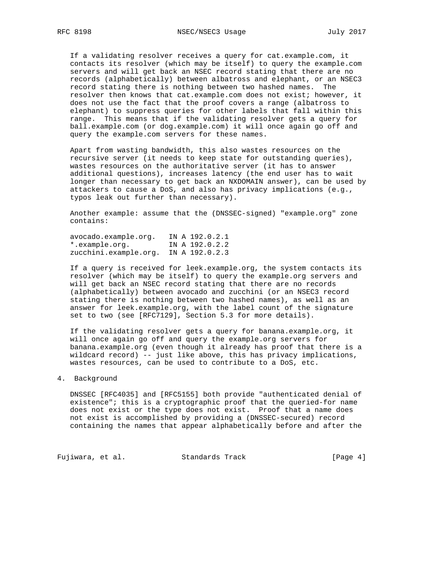If a validating resolver receives a query for cat.example.com, it contacts its resolver (which may be itself) to query the example.com servers and will get back an NSEC record stating that there are no records (alphabetically) between albatross and elephant, or an NSEC3 record stating there is nothing between two hashed names. The resolver then knows that cat.example.com does not exist; however, it does not use the fact that the proof covers a range (albatross to elephant) to suppress queries for other labels that fall within this range. This means that if the validating resolver gets a query for ball.example.com (or dog.example.com) it will once again go off and query the example.com servers for these names.

 Apart from wasting bandwidth, this also wastes resources on the recursive server (it needs to keep state for outstanding queries), wastes resources on the authoritative server (it has to answer additional questions), increases latency (the end user has to wait longer than necessary to get back an NXDOMAIN answer), can be used by attackers to cause a DoS, and also has privacy implications (e.g., typos leak out further than necessary).

 Another example: assume that the (DNSSEC-signed) "example.org" zone contains:

 avocado.example.org. IN A 192.0.2.1 \*.example.org. IN A 192.0.2.2 zucchini.example.org. IN A 192.0.2.3

 If a query is received for leek.example.org, the system contacts its resolver (which may be itself) to query the example.org servers and will get back an NSEC record stating that there are no records (alphabetically) between avocado and zucchini (or an NSEC3 record stating there is nothing between two hashed names), as well as an answer for leek.example.org, with the label count of the signature set to two (see [RFC7129], Section 5.3 for more details).

If the validating resolver gets a query for banana.example.org, it will once again go off and query the example.org servers for banana.example.org (even though it already has proof that there is a wildcard record) -- just like above, this has privacy implications, wastes resources, can be used to contribute to a DoS, etc.

#### 4. Background

 DNSSEC [RFC4035] and [RFC5155] both provide "authenticated denial of existence"; this is a cryptographic proof that the queried-for name does not exist or the type does not exist. Proof that a name does not exist is accomplished by providing a (DNSSEC-secured) record containing the names that appear alphabetically before and after the

Fujiwara, et al. Standards Track [Page 4]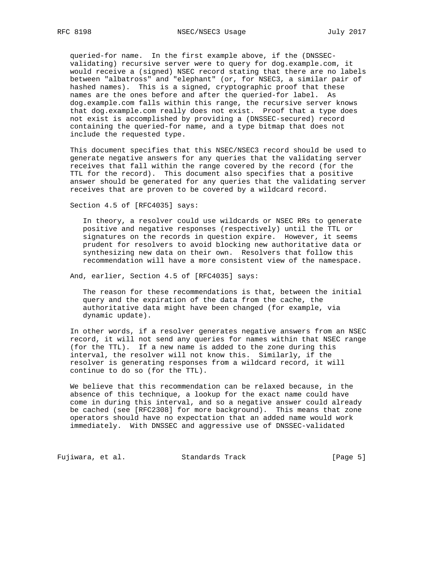queried-for name. In the first example above, if the (DNSSEC validating) recursive server were to query for dog.example.com, it would receive a (signed) NSEC record stating that there are no labels between "albatross" and "elephant" (or, for NSEC3, a similar pair of hashed names). This is a signed, cryptographic proof that these names are the ones before and after the queried-for label. As dog.example.com falls within this range, the recursive server knows that dog.example.com really does not exist. Proof that a type does not exist is accomplished by providing a (DNSSEC-secured) record containing the queried-for name, and a type bitmap that does not include the requested type.

 This document specifies that this NSEC/NSEC3 record should be used to generate negative answers for any queries that the validating server receives that fall within the range covered by the record (for the TTL for the record). This document also specifies that a positive answer should be generated for any queries that the validating server receives that are proven to be covered by a wildcard record.

Section 4.5 of [RFC4035] says:

 In theory, a resolver could use wildcards or NSEC RRs to generate positive and negative responses (respectively) until the TTL or signatures on the records in question expire. However, it seems prudent for resolvers to avoid blocking new authoritative data or synthesizing new data on their own. Resolvers that follow this recommendation will have a more consistent view of the namespace.

And, earlier, Section 4.5 of [RFC4035] says:

 The reason for these recommendations is that, between the initial query and the expiration of the data from the cache, the authoritative data might have been changed (for example, via dynamic update).

 In other words, if a resolver generates negative answers from an NSEC record, it will not send any queries for names within that NSEC range (for the TTL). If a new name is added to the zone during this interval, the resolver will not know this. Similarly, if the resolver is generating responses from a wildcard record, it will continue to do so (for the TTL).

 We believe that this recommendation can be relaxed because, in the absence of this technique, a lookup for the exact name could have come in during this interval, and so a negative answer could already be cached (see [RFC2308] for more background). This means that zone operators should have no expectation that an added name would work immediately. With DNSSEC and aggressive use of DNSSEC-validated

Fujiwara, et al. Standards Track [Page 5]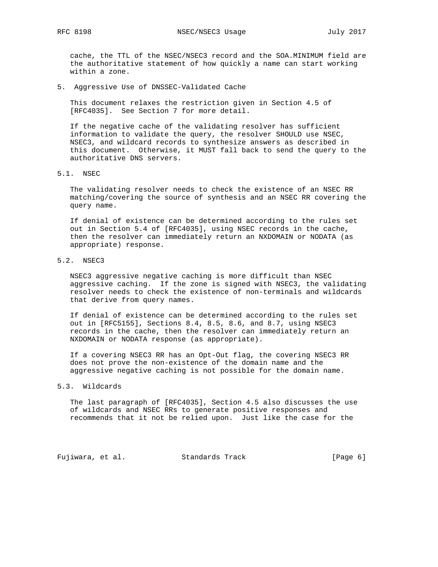cache, the TTL of the NSEC/NSEC3 record and the SOA.MINIMUM field are the authoritative statement of how quickly a name can start working within a zone.

5. Aggressive Use of DNSSEC-Validated Cache

 This document relaxes the restriction given in Section 4.5 of [RFC4035]. See Section 7 for more detail.

 If the negative cache of the validating resolver has sufficient information to validate the query, the resolver SHOULD use NSEC, NSEC3, and wildcard records to synthesize answers as described in this document. Otherwise, it MUST fall back to send the query to the authoritative DNS servers.

5.1. NSEC

 The validating resolver needs to check the existence of an NSEC RR matching/covering the source of synthesis and an NSEC RR covering the query name.

 If denial of existence can be determined according to the rules set out in Section 5.4 of [RFC4035], using NSEC records in the cache, then the resolver can immediately return an NXDOMAIN or NODATA (as appropriate) response.

5.2. NSEC3

 NSEC3 aggressive negative caching is more difficult than NSEC aggressive caching. If the zone is signed with NSEC3, the validating resolver needs to check the existence of non-terminals and wildcards that derive from query names.

 If denial of existence can be determined according to the rules set out in [RFC5155], Sections 8.4, 8.5, 8.6, and 8.7, using NSEC3 records in the cache, then the resolver can immediately return an NXDOMAIN or NODATA response (as appropriate).

 If a covering NSEC3 RR has an Opt-Out flag, the covering NSEC3 RR does not prove the non-existence of the domain name and the aggressive negative caching is not possible for the domain name.

### 5.3. Wildcards

 The last paragraph of [RFC4035], Section 4.5 also discusses the use of wildcards and NSEC RRs to generate positive responses and recommends that it not be relied upon. Just like the case for the

Fujiwara, et al. Standards Track [Page 6]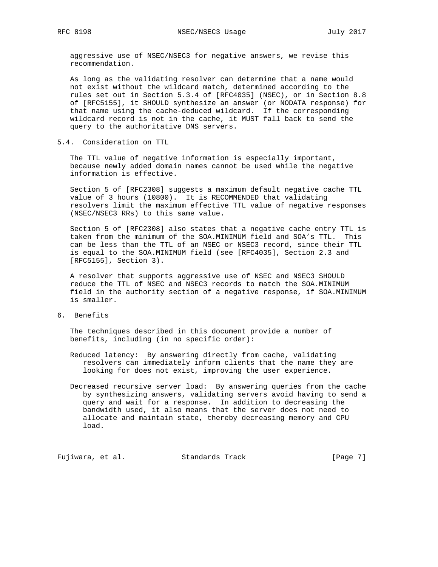aggressive use of NSEC/NSEC3 for negative answers, we revise this recommendation.

 As long as the validating resolver can determine that a name would not exist without the wildcard match, determined according to the rules set out in Section 5.3.4 of [RFC4035] (NSEC), or in Section 8.8 of [RFC5155], it SHOULD synthesize an answer (or NODATA response) for that name using the cache-deduced wildcard. If the corresponding wildcard record is not in the cache, it MUST fall back to send the query to the authoritative DNS servers.

5.4. Consideration on TTL

 The TTL value of negative information is especially important, because newly added domain names cannot be used while the negative information is effective.

 Section 5 of [RFC2308] suggests a maximum default negative cache TTL value of 3 hours (10800). It is RECOMMENDED that validating resolvers limit the maximum effective TTL value of negative responses (NSEC/NSEC3 RRs) to this same value.

 Section 5 of [RFC2308] also states that a negative cache entry TTL is taken from the minimum of the SOA.MINIMUM field and SOA's TTL. This can be less than the TTL of an NSEC or NSEC3 record, since their TTL is equal to the SOA.MINIMUM field (see [RFC4035], Section 2.3 and [RFC5155], Section 3).

 A resolver that supports aggressive use of NSEC and NSEC3 SHOULD reduce the TTL of NSEC and NSEC3 records to match the SOA.MINIMUM field in the authority section of a negative response, if SOA.MINIMUM is smaller.

6. Benefits

 The techniques described in this document provide a number of benefits, including (in no specific order):

- Reduced latency: By answering directly from cache, validating resolvers can immediately inform clients that the name they are looking for does not exist, improving the user experience.
- Decreased recursive server load: By answering queries from the cache by synthesizing answers, validating servers avoid having to send a query and wait for a response. In addition to decreasing the bandwidth used, it also means that the server does not need to allocate and maintain state, thereby decreasing memory and CPU load.

Fujiwara, et al. Standards Track [Page 7]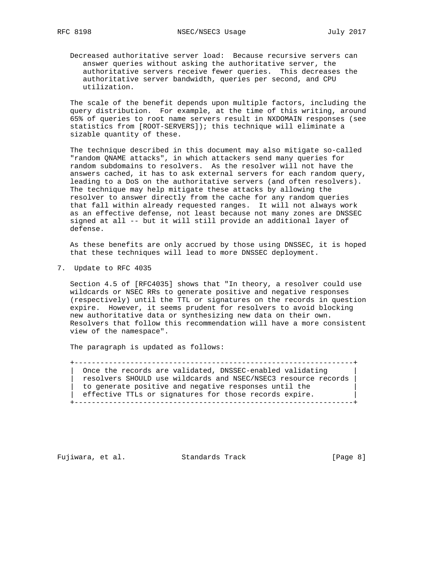Decreased authoritative server load: Because recursive servers can answer queries without asking the authoritative server, the authoritative servers receive fewer queries. This decreases the authoritative server bandwidth, queries per second, and CPU utilization.

 The scale of the benefit depends upon multiple factors, including the query distribution. For example, at the time of this writing, around 65% of queries to root name servers result in NXDOMAIN responses (see statistics from [ROOT-SERVERS]); this technique will eliminate a sizable quantity of these.

 The technique described in this document may also mitigate so-called "random QNAME attacks", in which attackers send many queries for random subdomains to resolvers. As the resolver will not have the answers cached, it has to ask external servers for each random query, leading to a DoS on the authoritative servers (and often resolvers). The technique may help mitigate these attacks by allowing the resolver to answer directly from the cache for any random queries that fall within already requested ranges. It will not always work as an effective defense, not least because not many zones are DNSSEC signed at all -- but it will still provide an additional layer of defense.

 As these benefits are only accrued by those using DNSSEC, it is hoped that these techniques will lead to more DNSSEC deployment.

7. Update to RFC 4035

 Section 4.5 of [RFC4035] shows that "In theory, a resolver could use wildcards or NSEC RRs to generate positive and negative responses (respectively) until the TTL or signatures on the records in question expire. However, it seems prudent for resolvers to avoid blocking new authoritative data or synthesizing new data on their own. Resolvers that follow this recommendation will have a more consistent view of the namespace".

The paragraph is updated as follows:

 +-----------------------------------------------------------------+ Once the records are validated, DNSSEC-enabled validating | resolvers SHOULD use wildcards and NSEC/NSEC3 resource records | to generate positive and negative responses until the | effective TTLs or signatures for those records expire. | +-----------------------------------------------------------------+

Fujiwara, et al. Standards Track [Page 8]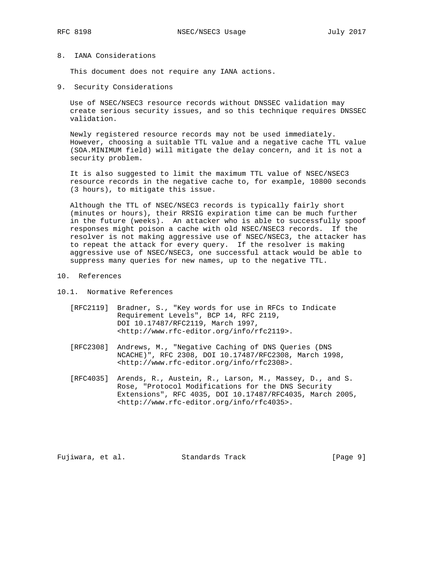## 8. IANA Considerations

This document does not require any IANA actions.

9. Security Considerations

 Use of NSEC/NSEC3 resource records without DNSSEC validation may create serious security issues, and so this technique requires DNSSEC validation.

 Newly registered resource records may not be used immediately. However, choosing a suitable TTL value and a negative cache TTL value (SOA.MINIMUM field) will mitigate the delay concern, and it is not a security problem.

 It is also suggested to limit the maximum TTL value of NSEC/NSEC3 resource records in the negative cache to, for example, 10800 seconds (3 hours), to mitigate this issue.

 Although the TTL of NSEC/NSEC3 records is typically fairly short (minutes or hours), their RRSIG expiration time can be much further in the future (weeks). An attacker who is able to successfully spoof responses might poison a cache with old NSEC/NSEC3 records. If the resolver is not making aggressive use of NSEC/NSEC3, the attacker has to repeat the attack for every query. If the resolver is making aggressive use of NSEC/NSEC3, one successful attack would be able to suppress many queries for new names, up to the negative TTL.

10. References

10.1. Normative References

- [RFC2119] Bradner, S., "Key words for use in RFCs to Indicate Requirement Levels", BCP 14, RFC 2119, DOI 10.17487/RFC2119, March 1997, <http://www.rfc-editor.org/info/rfc2119>.
- [RFC2308] Andrews, M., "Negative Caching of DNS Queries (DNS NCACHE)", RFC 2308, DOI 10.17487/RFC2308, March 1998, <http://www.rfc-editor.org/info/rfc2308>.
- [RFC4035] Arends, R., Austein, R., Larson, M., Massey, D., and S. Rose, "Protocol Modifications for the DNS Security Extensions", RFC 4035, DOI 10.17487/RFC4035, March 2005, <http://www.rfc-editor.org/info/rfc4035>.

Fujiwara, et al. Standards Track [Page 9]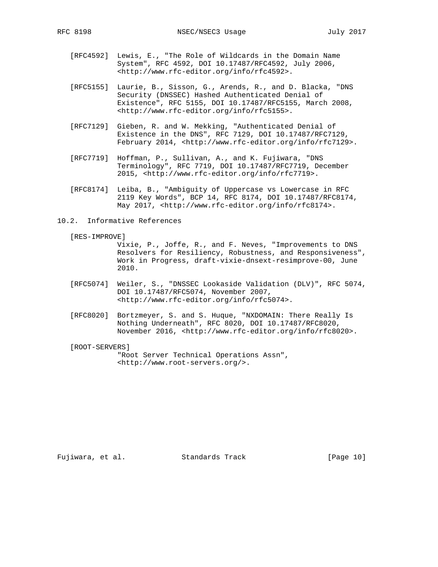- [RFC4592] Lewis, E., "The Role of Wildcards in the Domain Name System", RFC 4592, DOI 10.17487/RFC4592, July 2006, <http://www.rfc-editor.org/info/rfc4592>.
- [RFC5155] Laurie, B., Sisson, G., Arends, R., and D. Blacka, "DNS Security (DNSSEC) Hashed Authenticated Denial of Existence", RFC 5155, DOI 10.17487/RFC5155, March 2008, <http://www.rfc-editor.org/info/rfc5155>.
- [RFC7129] Gieben, R. and W. Mekking, "Authenticated Denial of Existence in the DNS", RFC 7129, DOI 10.17487/RFC7129, February 2014, <http://www.rfc-editor.org/info/rfc7129>.
- [RFC7719] Hoffman, P., Sullivan, A., and K. Fujiwara, "DNS Terminology", RFC 7719, DOI 10.17487/RFC7719, December 2015, <http://www.rfc-editor.org/info/rfc7719>.
- [RFC8174] Leiba, B., "Ambiguity of Uppercase vs Lowercase in RFC 2119 Key Words", BCP 14, RFC 8174, DOI 10.17487/RFC8174, May 2017, <http://www.rfc-editor.org/info/rfc8174>.
- 10.2. Informative References
	- [RES-IMPROVE]

 Vixie, P., Joffe, R., and F. Neves, "Improvements to DNS Resolvers for Resiliency, Robustness, and Responsiveness", Work in Progress, draft-vixie-dnsext-resimprove-00, June 2010.

- [RFC5074] Weiler, S., "DNSSEC Lookaside Validation (DLV)", RFC 5074, DOI 10.17487/RFC5074, November 2007, <http://www.rfc-editor.org/info/rfc5074>.
- [RFC8020] Bortzmeyer, S. and S. Huque, "NXDOMAIN: There Really Is Nothing Underneath", RFC 8020, DOI 10.17487/RFC8020, November 2016, <http://www.rfc-editor.org/info/rfc8020>.
- [ROOT-SERVERS]

 "Root Server Technical Operations Assn", <http://www.root-servers.org/>.

Fujiwara, et al. Standards Track [Page 10]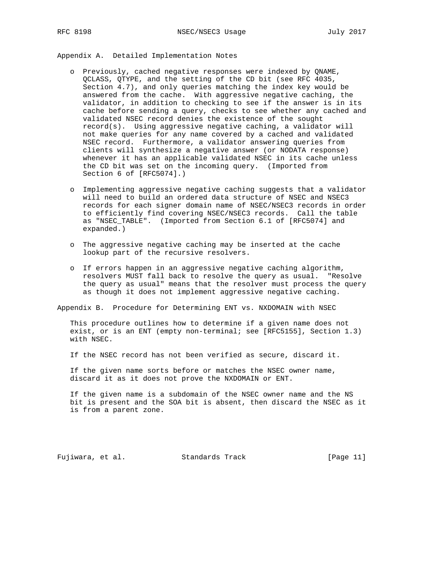Appendix A. Detailed Implementation Notes

- o Previously, cached negative responses were indexed by QNAME, QCLASS, QTYPE, and the setting of the CD bit (see RFC 4035, Section 4.7), and only queries matching the index key would be answered from the cache. With aggressive negative caching, the validator, in addition to checking to see if the answer is in its cache before sending a query, checks to see whether any cached and validated NSEC record denies the existence of the sought record(s). Using aggressive negative caching, a validator will not make queries for any name covered by a cached and validated NSEC record. Furthermore, a validator answering queries from clients will synthesize a negative answer (or NODATA response) whenever it has an applicable validated NSEC in its cache unless the CD bit was set on the incoming query. (Imported from Section 6 of [RFC5074].)
- o Implementing aggressive negative caching suggests that a validator will need to build an ordered data structure of NSEC and NSEC3 records for each signer domain name of NSEC/NSEC3 records in order to efficiently find covering NSEC/NSEC3 records. Call the table as "NSEC\_TABLE". (Imported from Section 6.1 of [RFC5074] and expanded.)
- o The aggressive negative caching may be inserted at the cache lookup part of the recursive resolvers.
- o If errors happen in an aggressive negative caching algorithm, resolvers MUST fall back to resolve the query as usual. "Resolve the query as usual" means that the resolver must process the query as though it does not implement aggressive negative caching.

Appendix B. Procedure for Determining ENT vs. NXDOMAIN with NSEC

 This procedure outlines how to determine if a given name does not exist, or is an ENT (empty non-terminal; see [RFC5155], Section 1.3) with NSEC.

If the NSEC record has not been verified as secure, discard it.

 If the given name sorts before or matches the NSEC owner name, discard it as it does not prove the NXDOMAIN or ENT.

 If the given name is a subdomain of the NSEC owner name and the NS bit is present and the SOA bit is absent, then discard the NSEC as it is from a parent zone.

Fujiwara, et al. Standards Track [Page 11]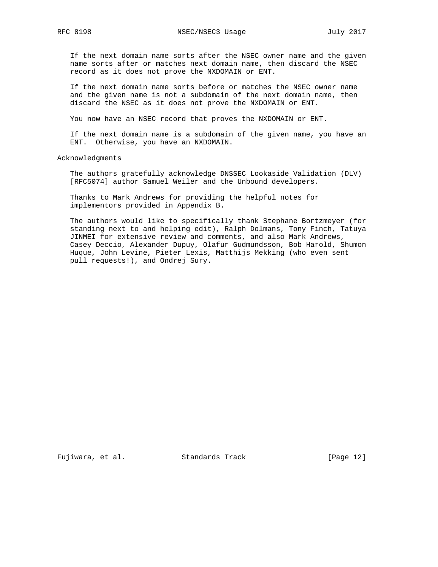If the next domain name sorts after the NSEC owner name and the given name sorts after or matches next domain name, then discard the NSEC record as it does not prove the NXDOMAIN or ENT.

 If the next domain name sorts before or matches the NSEC owner name and the given name is not a subdomain of the next domain name, then discard the NSEC as it does not prove the NXDOMAIN or ENT.

You now have an NSEC record that proves the NXDOMAIN or ENT.

 If the next domain name is a subdomain of the given name, you have an ENT. Otherwise, you have an NXDOMAIN.

Acknowledgments

 The authors gratefully acknowledge DNSSEC Lookaside Validation (DLV) [RFC5074] author Samuel Weiler and the Unbound developers.

 Thanks to Mark Andrews for providing the helpful notes for implementors provided in Appendix B.

 The authors would like to specifically thank Stephane Bortzmeyer (for standing next to and helping edit), Ralph Dolmans, Tony Finch, Tatuya JINMEI for extensive review and comments, and also Mark Andrews, Casey Deccio, Alexander Dupuy, Olafur Gudmundsson, Bob Harold, Shumon Huque, John Levine, Pieter Lexis, Matthijs Mekking (who even sent pull requests!), and Ondrej Sury.

Fujiwara, et al. Standards Track [Page 12]